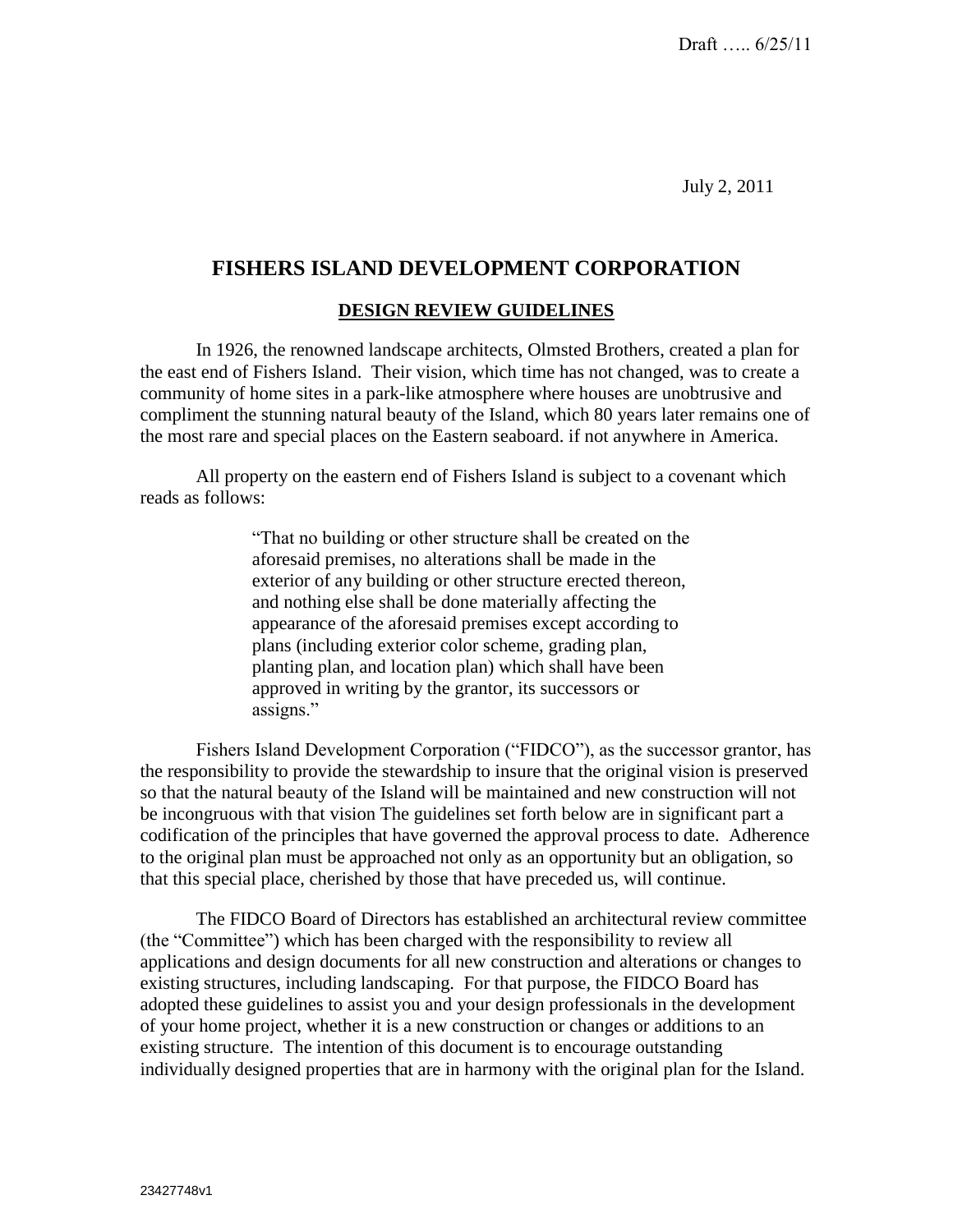July 2, 2011

# **FISHERS ISLAND DEVELOPMENT CORPORATION**

### **DESIGN REVIEW GUIDELINES**

In 1926, the renowned landscape architects, Olmsted Brothers, created a plan for the east end of Fishers Island. Their vision, which time has not changed, was to create a community of home sites in a park-like atmosphere where houses are unobtrusive and compliment the stunning natural beauty of the Island, which 80 years later remains one of the most rare and special places on the Eastern seaboard. if not anywhere in America.

All property on the eastern end of Fishers Island is subject to a covenant which reads as follows:

> "That no building or other structure shall be created on the aforesaid premises, no alterations shall be made in the exterior of any building or other structure erected thereon, and nothing else shall be done materially affecting the appearance of the aforesaid premises except according to plans (including exterior color scheme, grading plan, planting plan, and location plan) which shall have been approved in writing by the grantor, its successors or assigns."

Fishers Island Development Corporation ("FIDCO"), as the successor grantor, has the responsibility to provide the stewardship to insure that the original vision is preserved so that the natural beauty of the Island will be maintained and new construction will not be incongruous with that vision The guidelines set forth below are in significant part a codification of the principles that have governed the approval process to date. Adherence to the original plan must be approached not only as an opportunity but an obligation, so that this special place, cherished by those that have preceded us, will continue.

The FIDCO Board of Directors has established an architectural review committee (the "Committee") which has been charged with the responsibility to review all applications and design documents for all new construction and alterations or changes to existing structures, including landscaping. For that purpose, the FIDCO Board has adopted these guidelines to assist you and your design professionals in the development of your home project, whether it is a new construction or changes or additions to an existing structure. The intention of this document is to encourage outstanding individually designed properties that are in harmony with the original plan for the Island.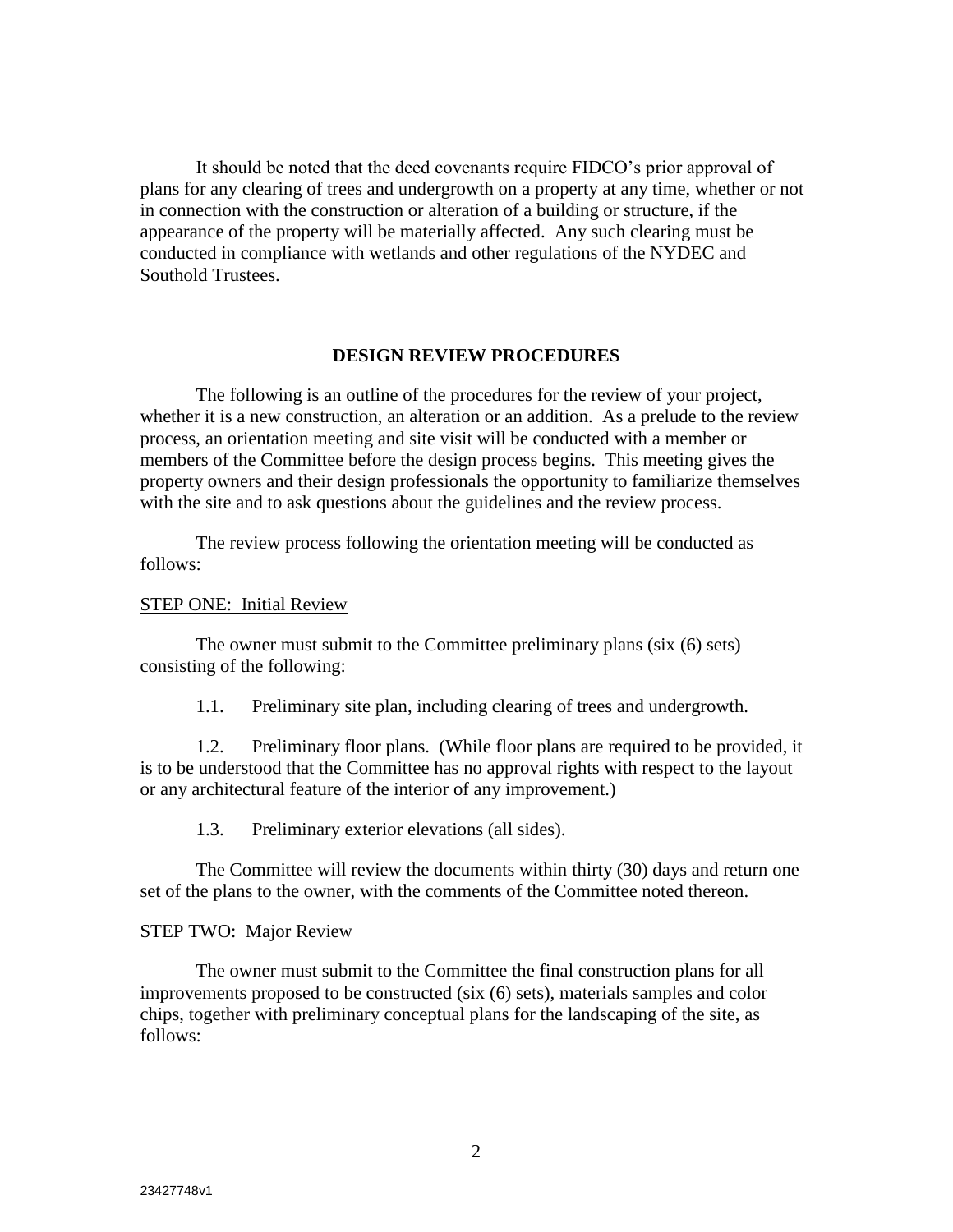It should be noted that the deed covenants require FIDCO's prior approval of plans for any clearing of trees and undergrowth on a property at any time, whether or not in connection with the construction or alteration of a building or structure, if the appearance of the property will be materially affected. Any such clearing must be conducted in compliance with wetlands and other regulations of the NYDEC and Southold Trustees.

#### **DESIGN REVIEW PROCEDURES**

The following is an outline of the procedures for the review of your project, whether it is a new construction, an alteration or an addition. As a prelude to the review process, an orientation meeting and site visit will be conducted with a member or members of the Committee before the design process begins. This meeting gives the property owners and their design professionals the opportunity to familiarize themselves with the site and to ask questions about the guidelines and the review process.

The review process following the orientation meeting will be conducted as follows:

#### STEP ONE: Initial Review

The owner must submit to the Committee preliminary plans (six (6) sets) consisting of the following:

1.1. Preliminary site plan, including clearing of trees and undergrowth.

1.2. Preliminary floor plans. (While floor plans are required to be provided, it is to be understood that the Committee has no approval rights with respect to the layout or any architectural feature of the interior of any improvement.)

1.3. Preliminary exterior elevations (all sides).

The Committee will review the documents within thirty (30) days and return one set of the plans to the owner, with the comments of the Committee noted thereon.

#### STEP TWO: Major Review

The owner must submit to the Committee the final construction plans for all improvements proposed to be constructed (six (6) sets), materials samples and color chips, together with preliminary conceptual plans for the landscaping of the site, as follows: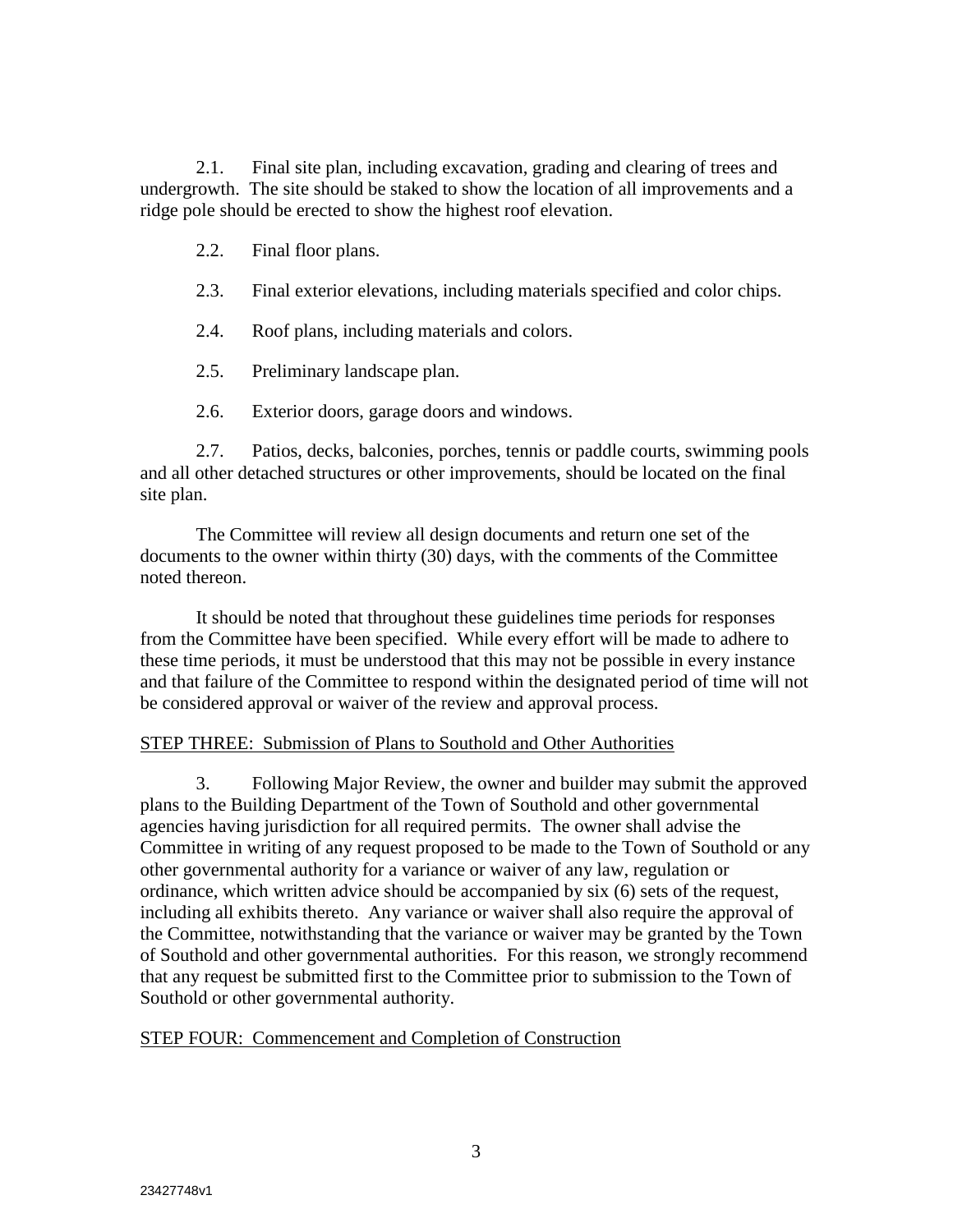2.1. Final site plan, including excavation, grading and clearing of trees and undergrowth. The site should be staked to show the location of all improvements and a ridge pole should be erected to show the highest roof elevation.

2.2. Final floor plans.

- 2.3. Final exterior elevations, including materials specified and color chips.
- 2.4. Roof plans, including materials and colors.
- 2.5. Preliminary landscape plan.
- 2.6. Exterior doors, garage doors and windows.

2.7. Patios, decks, balconies, porches, tennis or paddle courts, swimming pools and all other detached structures or other improvements, should be located on the final site plan.

The Committee will review all design documents and return one set of the documents to the owner within thirty (30) days, with the comments of the Committee noted thereon.

It should be noted that throughout these guidelines time periods for responses from the Committee have been specified. While every effort will be made to adhere to these time periods, it must be understood that this may not be possible in every instance and that failure of the Committee to respond within the designated period of time will not be considered approval or waiver of the review and approval process.

## STEP THREE: Submission of Plans to Southold and Other Authorities

3. Following Major Review, the owner and builder may submit the approved plans to the Building Department of the Town of Southold and other governmental agencies having jurisdiction for all required permits. The owner shall advise the Committee in writing of any request proposed to be made to the Town of Southold or any other governmental authority for a variance or waiver of any law, regulation or ordinance, which written advice should be accompanied by six (6) sets of the request, including all exhibits thereto. Any variance or waiver shall also require the approval of the Committee, notwithstanding that the variance or waiver may be granted by the Town of Southold and other governmental authorities. For this reason, we strongly recommend that any request be submitted first to the Committee prior to submission to the Town of Southold or other governmental authority.

## STEP FOUR: Commencement and Completion of Construction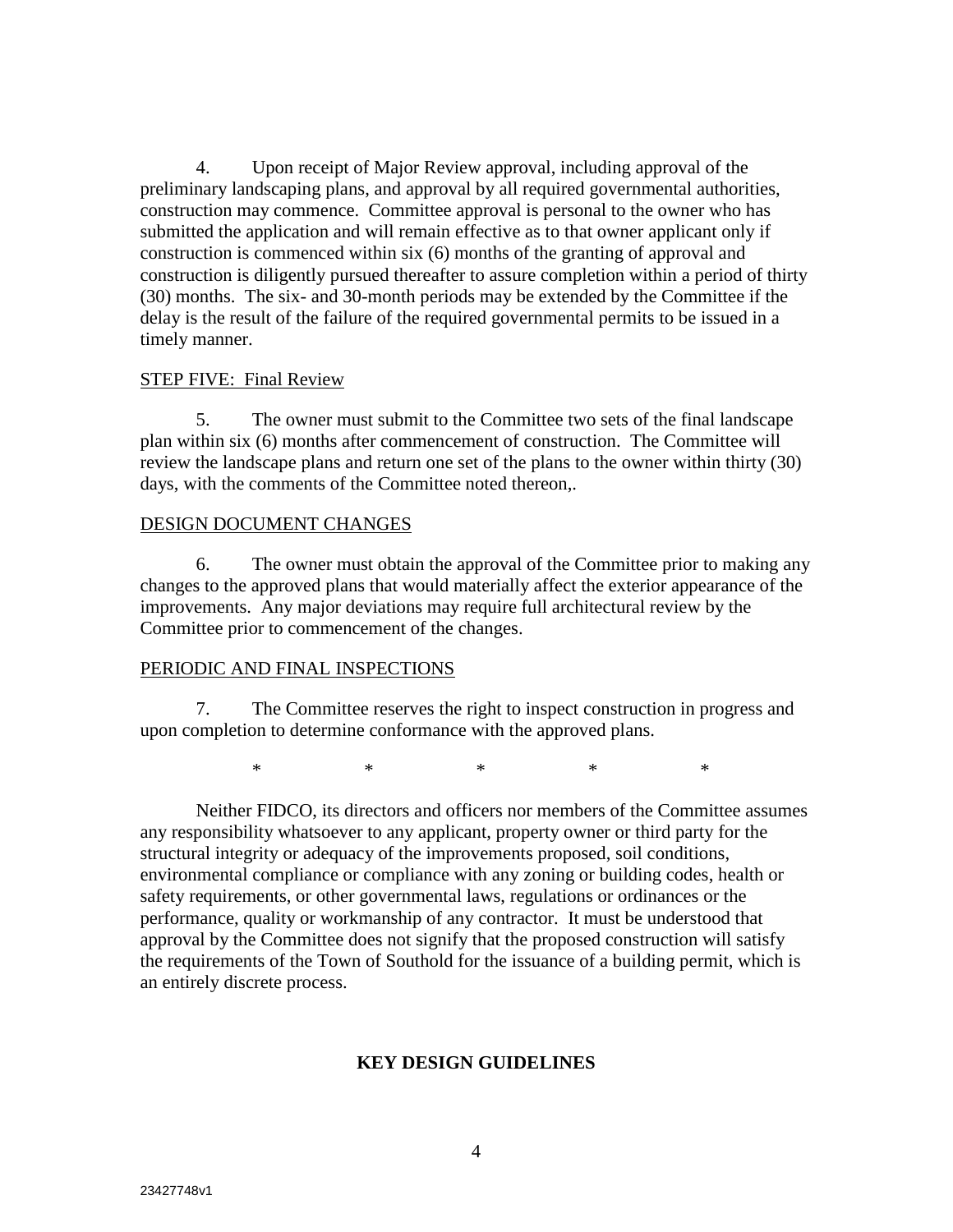4. Upon receipt of Major Review approval, including approval of the preliminary landscaping plans, and approval by all required governmental authorities, construction may commence. Committee approval is personal to the owner who has submitted the application and will remain effective as to that owner applicant only if construction is commenced within six (6) months of the granting of approval and construction is diligently pursued thereafter to assure completion within a period of thirty (30) months. The six- and 30-month periods may be extended by the Committee if the delay is the result of the failure of the required governmental permits to be issued in a timely manner.

#### STEP FIVE: Final Review

5. The owner must submit to the Committee two sets of the final landscape plan within six (6) months after commencement of construction. The Committee will review the landscape plans and return one set of the plans to the owner within thirty (30) days, with the comments of the Committee noted thereon,.

#### DESIGN DOCUMENT CHANGES

6. The owner must obtain the approval of the Committee prior to making any changes to the approved plans that would materially affect the exterior appearance of the improvements. Any major deviations may require full architectural review by the Committee prior to commencement of the changes.

### PERIODIC AND FINAL INSPECTIONS

7. The Committee reserves the right to inspect construction in progress and upon completion to determine conformance with the approved plans.

\* \* \* \* \* \* \*

Neither FIDCO, its directors and officers nor members of the Committee assumes any responsibility whatsoever to any applicant, property owner or third party for the structural integrity or adequacy of the improvements proposed, soil conditions, environmental compliance or compliance with any zoning or building codes, health or safety requirements, or other governmental laws, regulations or ordinances or the performance, quality or workmanship of any contractor. It must be understood that approval by the Committee does not signify that the proposed construction will satisfy the requirements of the Town of Southold for the issuance of a building permit, which is an entirely discrete process.

## **KEY DESIGN GUIDELINES**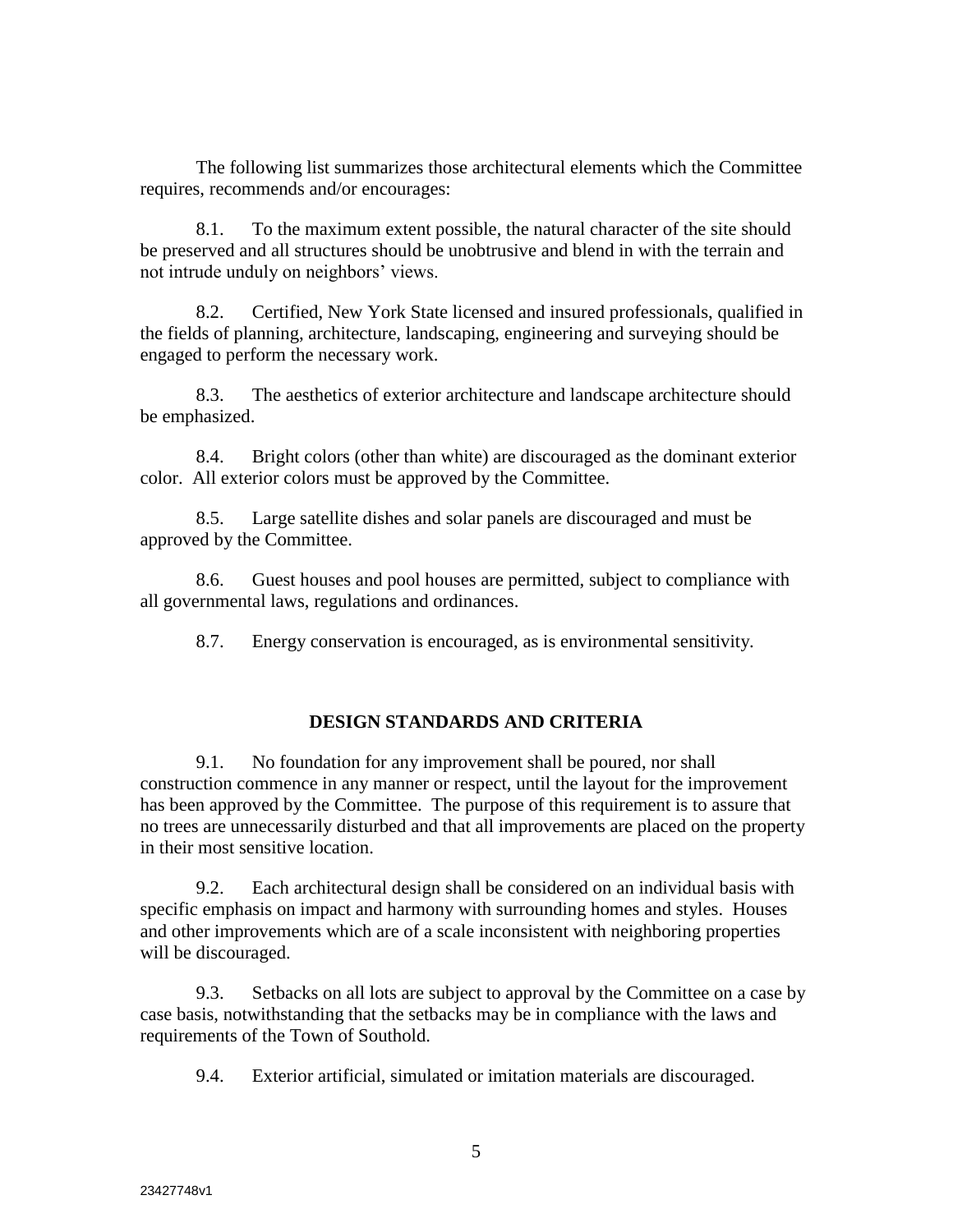The following list summarizes those architectural elements which the Committee requires, recommends and/or encourages:

8.1. To the maximum extent possible, the natural character of the site should be preserved and all structures should be unobtrusive and blend in with the terrain and not intrude unduly on neighbors' views.

8.2. Certified, New York State licensed and insured professionals, qualified in the fields of planning, architecture, landscaping, engineering and surveying should be engaged to perform the necessary work.

8.3. The aesthetics of exterior architecture and landscape architecture should be emphasized.

8.4. Bright colors (other than white) are discouraged as the dominant exterior color. All exterior colors must be approved by the Committee.

8.5. Large satellite dishes and solar panels are discouraged and must be approved by the Committee.

8.6. Guest houses and pool houses are permitted, subject to compliance with all governmental laws, regulations and ordinances.

8.7. Energy conservation is encouraged, as is environmental sensitivity.

## **DESIGN STANDARDS AND CRITERIA**

9.1. No foundation for any improvement shall be poured, nor shall construction commence in any manner or respect, until the layout for the improvement has been approved by the Committee. The purpose of this requirement is to assure that no trees are unnecessarily disturbed and that all improvements are placed on the property in their most sensitive location.

9.2. Each architectural design shall be considered on an individual basis with specific emphasis on impact and harmony with surrounding homes and styles. Houses and other improvements which are of a scale inconsistent with neighboring properties will be discouraged.

9.3. Setbacks on all lots are subject to approval by the Committee on a case by case basis, notwithstanding that the setbacks may be in compliance with the laws and requirements of the Town of Southold.

9.4. Exterior artificial, simulated or imitation materials are discouraged.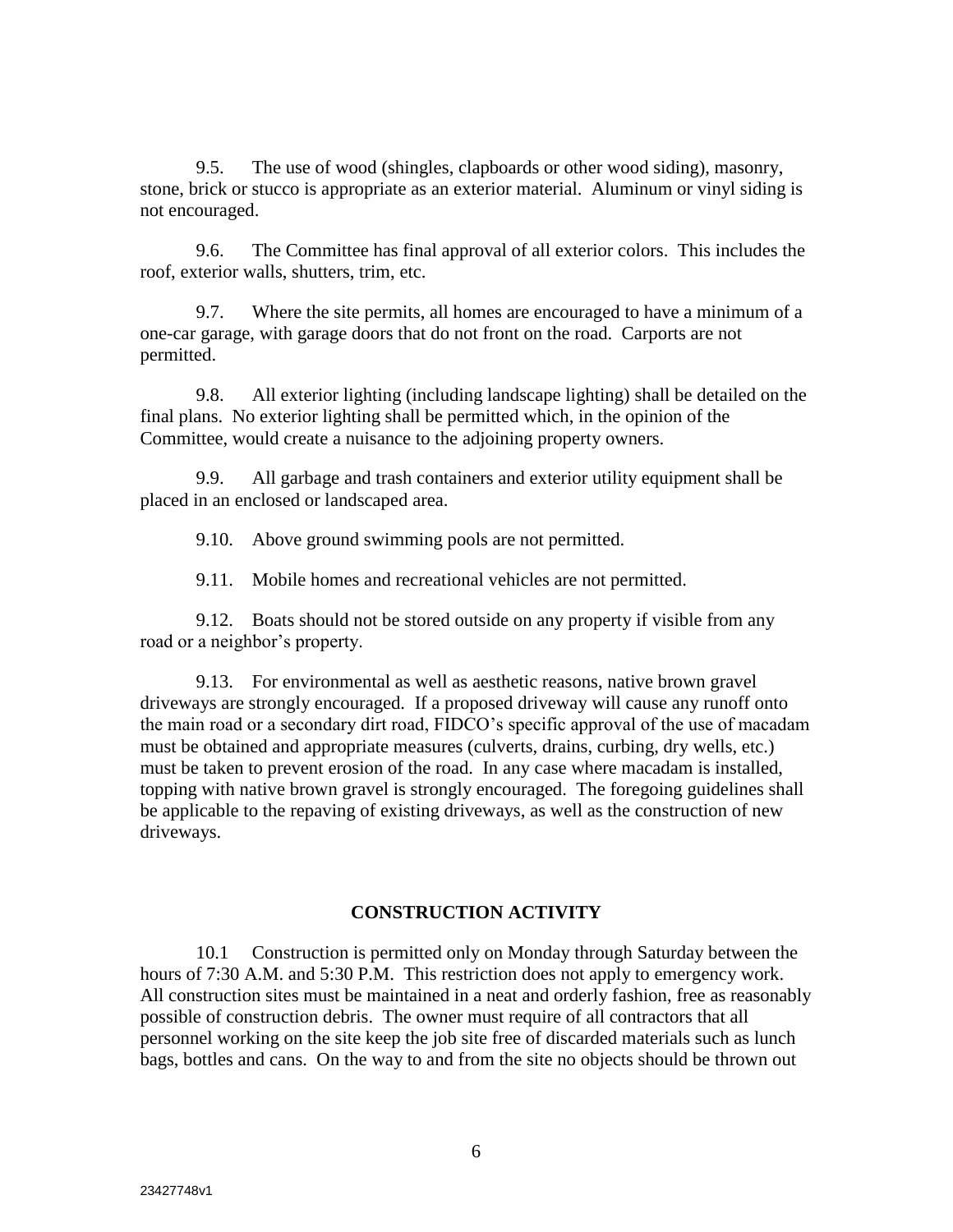9.5. The use of wood (shingles, clapboards or other wood siding), masonry, stone, brick or stucco is appropriate as an exterior material. Aluminum or vinyl siding is not encouraged.

9.6. The Committee has final approval of all exterior colors. This includes the roof, exterior walls, shutters, trim, etc.

9.7. Where the site permits, all homes are encouraged to have a minimum of a one-car garage, with garage doors that do not front on the road. Carports are not permitted.

9.8. All exterior lighting (including landscape lighting) shall be detailed on the final plans. No exterior lighting shall be permitted which, in the opinion of the Committee, would create a nuisance to the adjoining property owners.

9.9. All garbage and trash containers and exterior utility equipment shall be placed in an enclosed or landscaped area.

9.10. Above ground swimming pools are not permitted.

9.11. Mobile homes and recreational vehicles are not permitted.

9.12. Boats should not be stored outside on any property if visible from any road or a neighbor's property.

9.13. For environmental as well as aesthetic reasons, native brown gravel driveways are strongly encouraged. If a proposed driveway will cause any runoff onto the main road or a secondary dirt road, FIDCO's specific approval of the use of macadam must be obtained and appropriate measures (culverts, drains, curbing, dry wells, etc.) must be taken to prevent erosion of the road. In any case where macadam is installed, topping with native brown gravel is strongly encouraged. The foregoing guidelines shall be applicable to the repaving of existing driveways, as well as the construction of new driveways.

#### **CONSTRUCTION ACTIVITY**

10.1 Construction is permitted only on Monday through Saturday between the hours of 7:30 A.M. and 5:30 P.M. This restriction does not apply to emergency work. All construction sites must be maintained in a neat and orderly fashion, free as reasonably possible of construction debris. The owner must require of all contractors that all personnel working on the site keep the job site free of discarded materials such as lunch bags, bottles and cans. On the way to and from the site no objects should be thrown out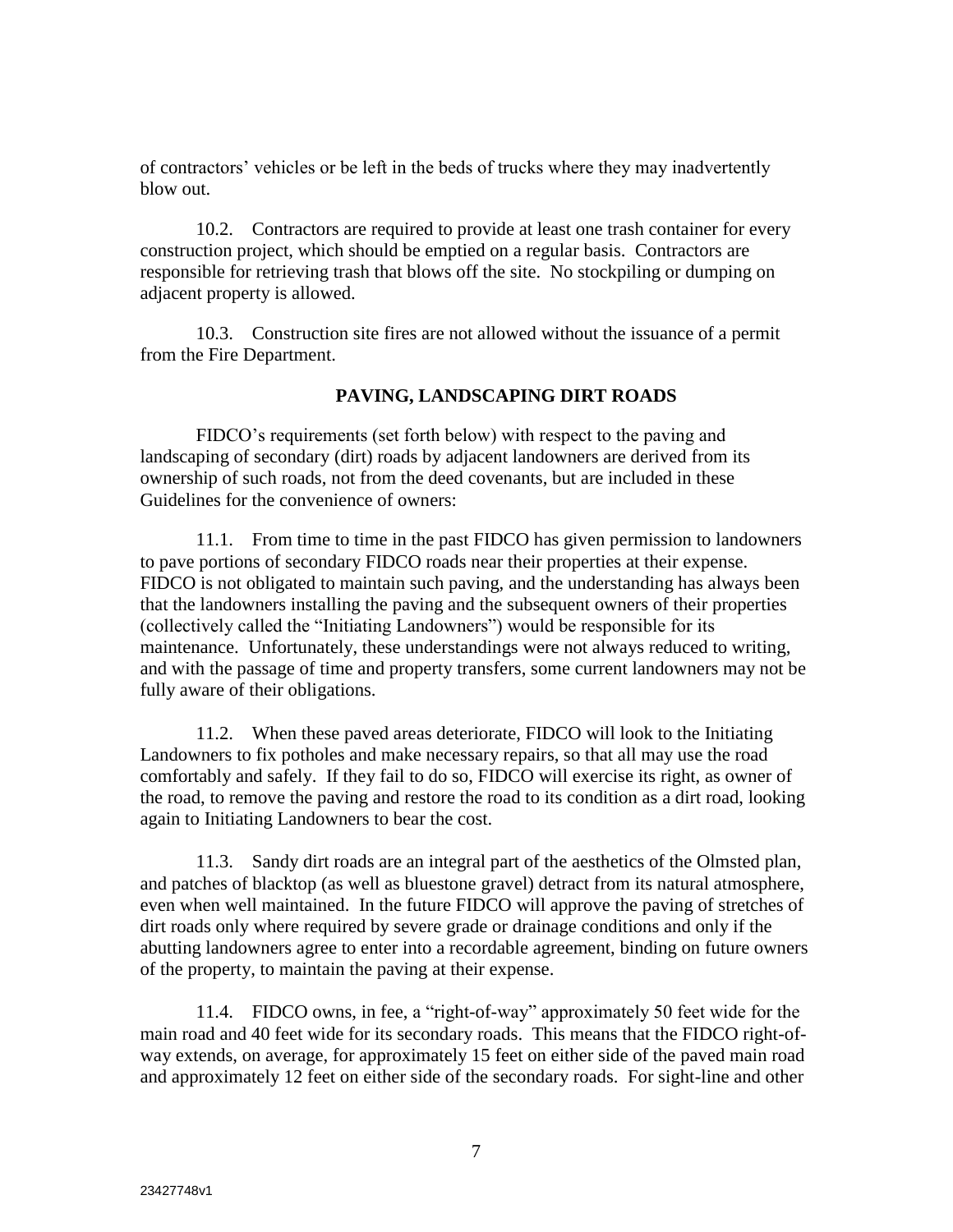of contractors' vehicles or be left in the beds of trucks where they may inadvertently blow out.

10.2. Contractors are required to provide at least one trash container for every construction project, which should be emptied on a regular basis. Contractors are responsible for retrieving trash that blows off the site. No stockpiling or dumping on adjacent property is allowed.

10.3. Construction site fires are not allowed without the issuance of a permit from the Fire Department.

### **PAVING, LANDSCAPING DIRT ROADS**

FIDCO's requirements (set forth below) with respect to the paving and landscaping of secondary (dirt) roads by adjacent landowners are derived from its ownership of such roads, not from the deed covenants, but are included in these Guidelines for the convenience of owners:

11.1. From time to time in the past FIDCO has given permission to landowners to pave portions of secondary FIDCO roads near their properties at their expense. FIDCO is not obligated to maintain such paving, and the understanding has always been that the landowners installing the paving and the subsequent owners of their properties (collectively called the "Initiating Landowners") would be responsible for its maintenance. Unfortunately, these understandings were not always reduced to writing, and with the passage of time and property transfers, some current landowners may not be fully aware of their obligations.

11.2. When these paved areas deteriorate, FIDCO will look to the Initiating Landowners to fix potholes and make necessary repairs, so that all may use the road comfortably and safely. If they fail to do so, FIDCO will exercise its right, as owner of the road, to remove the paving and restore the road to its condition as a dirt road, looking again to Initiating Landowners to bear the cost.

11.3. Sandy dirt roads are an integral part of the aesthetics of the Olmsted plan, and patches of blacktop (as well as bluestone gravel) detract from its natural atmosphere, even when well maintained. In the future FIDCO will approve the paving of stretches of dirt roads only where required by severe grade or drainage conditions and only if the abutting landowners agree to enter into a recordable agreement, binding on future owners of the property, to maintain the paving at their expense.

11.4. FIDCO owns, in fee, a "right-of-way" approximately 50 feet wide for the main road and 40 feet wide for its secondary roads. This means that the FIDCO right-ofway extends, on average, for approximately 15 feet on either side of the paved main road and approximately 12 feet on either side of the secondary roads. For sight-line and other